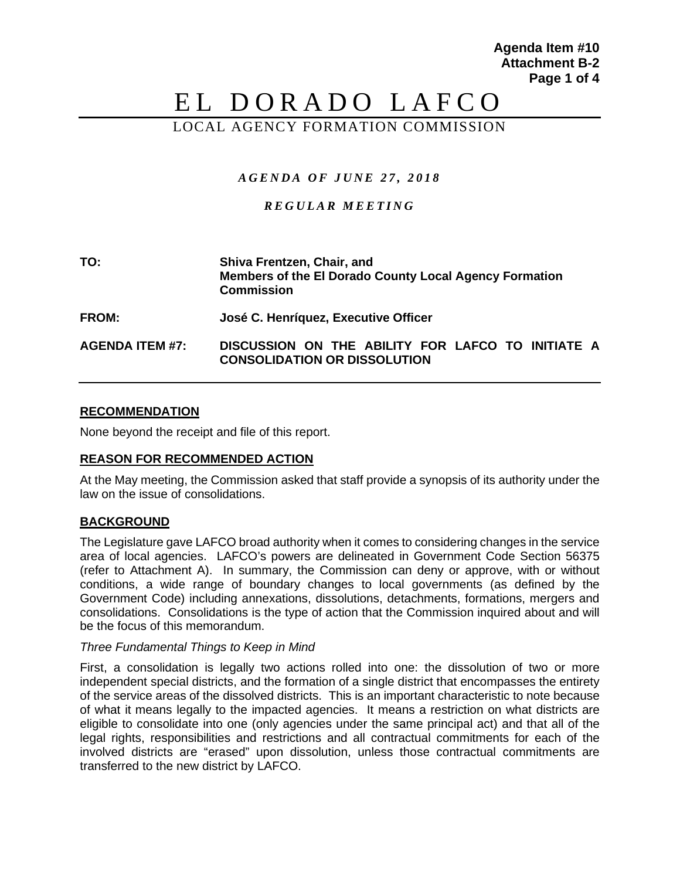**Agenda Item #10 Attachment B-2 Page 1 of 4**

# EL DORADO LAFCO

## LOCAL AGENCY FORMATION COMMISSION

## *AGENDA OF JUNE 27 , 20 1 8*

## *REGULAR MEET ING*

| TO:                    | Shiva Frentzen, Chair, and<br>Members of the El Dorado County Local Agency Formation<br><b>Commission</b> |
|------------------------|-----------------------------------------------------------------------------------------------------------|
| <b>FROM:</b>           | José C. Henríquez, Executive Officer                                                                      |
| <b>AGENDA ITEM #7:</b> | DISCUSSION ON THE ABILITY FOR LAFCO TO INITIATE A<br><b>CONSOLIDATION OR DISSOLUTION</b>                  |

### **RECOMMENDATION**

None beyond the receipt and file of this report.

#### **REASON FOR RECOMMENDED ACTION**

At the May meeting, the Commission asked that staff provide a synopsis of its authority under the law on the issue of consolidations.

## **BACKGROUND**

The Legislature gave LAFCO broad authority when it comes to considering changes in the service area of local agencies. LAFCO's powers are delineated in Government Code Section 56375 (refer to Attachment A). In summary, the Commission can deny or approve, with or without conditions, a wide range of boundary changes to local governments (as defined by the Government Code) including annexations, dissolutions, detachments, formations, mergers and consolidations. Consolidations is the type of action that the Commission inquired about and will be the focus of this memorandum.

#### *Three Fundamental Things to Keep in Mind*

First, a consolidation is legally two actions rolled into one: the dissolution of two or more independent special districts, and the formation of a single district that encompasses the entirety of the service areas of the dissolved districts. This is an important characteristic to note because of what it means legally to the impacted agencies. It means a restriction on what districts are eligible to consolidate into one (only agencies under the same principal act) and that all of the legal rights, responsibilities and restrictions and all contractual commitments for each of the involved districts are "erased" upon dissolution, unless those contractual commitments are transferred to the new district by LAFCO.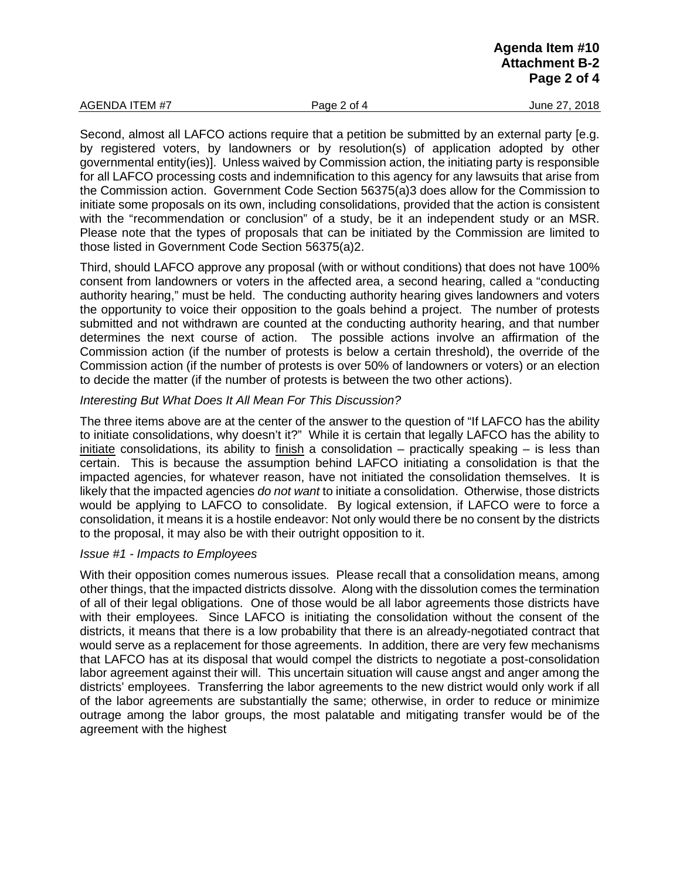Second, almost all LAFCO actions require that a petition be submitted by an external party [e.g. by registered voters, by landowners or by resolution(s) of application adopted by other governmental entity(ies)]. Unless waived by Commission action, the initiating party is responsible for all LAFCO processing costs and indemnification to this agency for any lawsuits that arise from the Commission action. Government Code Section 56375(a)3 does allow for the Commission to initiate some proposals on its own, including consolidations, provided that the action is consistent with the "recommendation or conclusion" of a study, be it an independent study or an MSR. Please note that the types of proposals that can be initiated by the Commission are limited to those listed in Government Code Section 56375(a)2.

Third, should LAFCO approve any proposal (with or without conditions) that does not have 100% consent from landowners or voters in the affected area, a second hearing, called a "conducting authority hearing," must be held. The conducting authority hearing gives landowners and voters the opportunity to voice their opposition to the goals behind a project. The number of protests submitted and not withdrawn are counted at the conducting authority hearing, and that number determines the next course of action. The possible actions involve an affirmation of the Commission action (if the number of protests is below a certain threshold), the override of the Commission action (if the number of protests is over 50% of landowners or voters) or an election to decide the matter (if the number of protests is between the two other actions).

#### *Interesting But What Does It All Mean For This Discussion?*

The three items above are at the center of the answer to the question of "If LAFCO has the ability to initiate consolidations, why doesn't it?" While it is certain that legally LAFCO has the ability to initiate consolidations, its ability to finish a consolidation – practically speaking  $-$  is less than certain. This is because the assumption behind LAFCO initiating a consolidation is that the impacted agencies, for whatever reason, have not initiated the consolidation themselves. It is likely that the impacted agencies *do not want* to initiate a consolidation. Otherwise, those districts would be applying to LAFCO to consolidate. By logical extension, if LAFCO were to force a consolidation, it means it is a hostile endeavor: Not only would there be no consent by the districts to the proposal, it may also be with their outright opposition to it.

#### *Issue #1 - Impacts to Employees*

With their opposition comes numerous issues. Please recall that a consolidation means, among other things, that the impacted districts dissolve. Along with the dissolution comes the termination of all of their legal obligations. One of those would be all labor agreements those districts have with their employees. Since LAFCO is initiating the consolidation without the consent of the districts, it means that there is a low probability that there is an already-negotiated contract that would serve as a replacement for those agreements. In addition, there are very few mechanisms that LAFCO has at its disposal that would compel the districts to negotiate a post-consolidation labor agreement against their will. This uncertain situation will cause angst and anger among the districts' employees. Transferring the labor agreements to the new district would only work if all of the labor agreements are substantially the same; otherwise, in order to reduce or minimize outrage among the labor groups, the most palatable and mitigating transfer would be of the agreement with the highest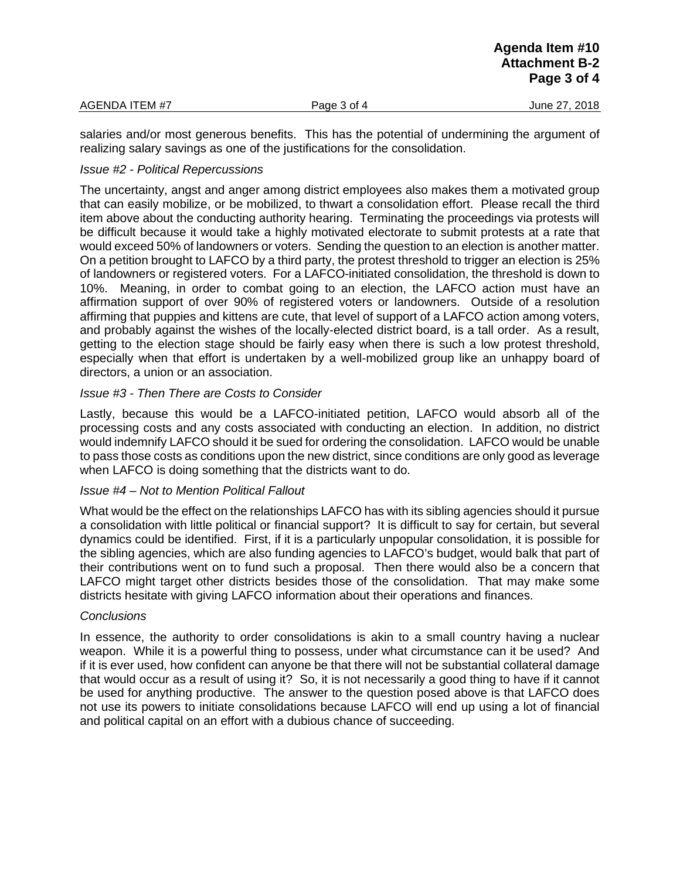|                |             | Agenda Item #10<br><b>Attachment B-2</b><br>Page 3 of 4 |
|----------------|-------------|---------------------------------------------------------|
| AGENDA ITEM #7 | Page 3 of 4 | June 27, 2018                                           |
|                |             |                                                         |

salaries and/or most generous benefits. This has the potential of undermining the argument of realizing salary savings as one of the justifications for the consolidation.

## *Issue #2 - Political Repercussions*

The uncertainty, angst and anger among district employees also makes them a motivated group that can easily mobilize, or be mobilized, to thwart a consolidation effort. Please recall the third item above about the conducting authority hearing. Terminating the proceedings via protests will be difficult because it would take a highly motivated electorate to submit protests at a rate that would exceed 50% of landowners or voters. Sending the question to an election is another matter. On a petition brought to LAFCO by a third party, the protest threshold to trigger an election is 25% of landowners or registered voters. For a LAFCO-initiated consolidation, the threshold is down to 10%. Meaning, in order to combat going to an election, the LAFCO action must have an affirmation support of over 90% of registered voters or landowners. Outside of a resolution affirming that puppies and kittens are cute, that level of support of a LAFCO action among voters, and probably against the wishes of the locally-elected district board, is a tall order. As a result, getting to the election stage should be fairly easy when there is such a low protest threshold, especially when that effort is undertaken by a well-mobilized group like an unhappy board of directors, a union or an association.

## *Issue #3 - Then There are Costs to Consider*

Lastly, because this would be a LAFCO-initiated petition, LAFCO would absorb all of the processing costs and any costs associated with conducting an election. In addition, no district would indemnify LAFCO should it be sued for ordering the consolidation. LAFCO would be unable to pass those costs as conditions upon the new district, since conditions are only good as leverage when LAFCO is doing something that the districts want to do.

## *Issue #4 – Not to Mention Political Fallout*

What would be the effect on the relationships LAFCO has with its sibling agencies should it pursue a consolidation with little political or financial support? It is difficult to say for certain, but several dynamics could be identified. First, if it is a particularly unpopular consolidation, it is possible for the sibling agencies, which are also funding agencies to LAFCO's budget, would balk that part of their contributions went on to fund such a proposal. Then there would also be a concern that LAFCO might target other districts besides those of the consolidation. That may make some districts hesitate with giving LAFCO information about their operations and finances.

## *Conclusions*

In essence, the authority to order consolidations is akin to a small country having a nuclear weapon. While it is a powerful thing to possess, under what circumstance can it be used? And if it is ever used, how confident can anyone be that there will not be substantial collateral damage that would occur as a result of using it? So, it is not necessarily a good thing to have if it cannot be used for anything productive. The answer to the question posed above is that LAFCO does not use its powers to initiate consolidations because LAFCO will end up using a lot of financial and political capital on an effort with a dubious chance of succeeding.